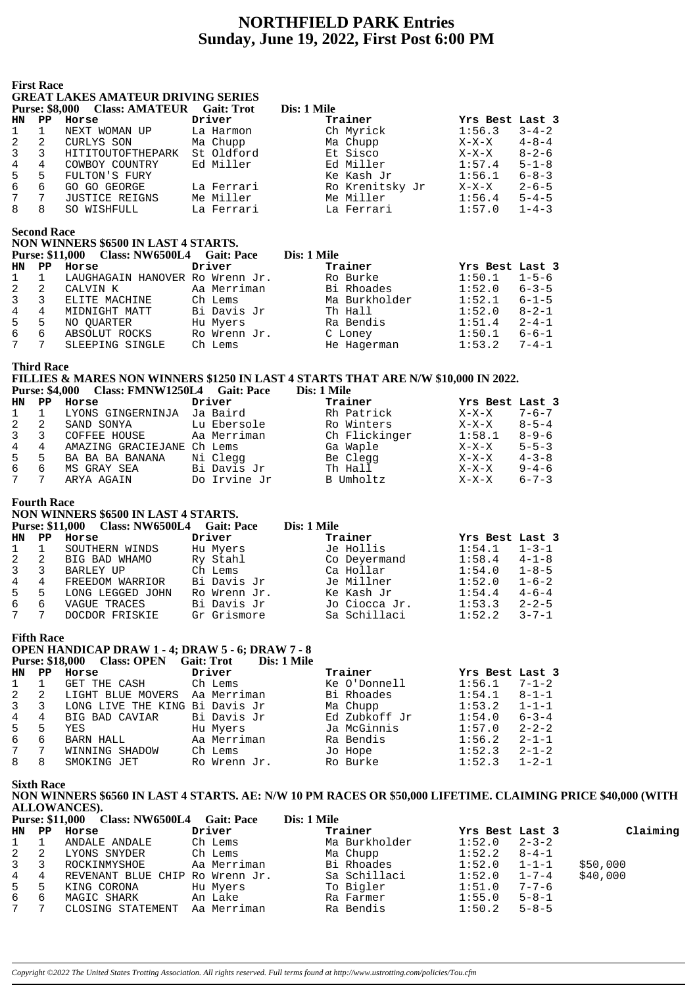# **NORTHFIELD PARK Entries Sunday, June 19, 2022, First Post 6:00 PM**

**First Race**

# **GREAT LAKES AMATEUR DRIVING SERIES**

| <b>Purse: \$8,000</b> |    | <b>Class: AMATEUR</b> Gait: Trot |            | Dis: 1 Mile     |                 |             |
|-----------------------|----|----------------------------------|------------|-----------------|-----------------|-------------|
| <b>HN</b>             | PP | Horse                            | Driver     | Trainer         | Yrs Best Last 3 |             |
|                       |    | NEXT WOMAN UP                    | La Harmon  | Ch Myrick       | 1:56.3          | $3 - 4 - 2$ |
| 2                     | -2 | CURLYS SON                       | Ma Chupp   | Ma Chupp        | $X-X-X$         | $4 - 8 - 4$ |
| 3                     | 3  | HITITOUTOFTHEPARK                | St Oldford | Et Sisco        | $X-X-X$         | $8 - 2 - 6$ |
| 4                     | 4  | COWBOY COUNTRY                   | Ed Miller  | Ed Miller       | 1:57.4          | $5 - 1 - 8$ |
| 5.                    | 5  | FULTON'S FURY                    |            | Ke Kash Jr      | 1:56.1          | $6 - 8 - 3$ |
| 6                     | 6  | GO GO GEORGE                     | La Ferrari | Ro Krenitsky Jr | $X-X-X$         | $2 - 6 - 5$ |
|                       | 7  | <b>JUSTICE REIGNS</b>            | Me Miller  | Me Miller       | 1:56.4          | $5 - 4 - 5$ |
| 8                     | 8  | SO WISHFULL                      | La Ferrari | La Ferrari      | 1:57.0          | $1 - 4 - 3$ |

**Second Race**

## **NON WINNERS \$6500 IN LAST 4 STARTS.**

|                  |   | Purse: \$11,000 Class: NW6500L4 Gait: Pace |              | Dis: 1 Mile   |                       |
|------------------|---|--------------------------------------------|--------------|---------------|-----------------------|
| HN PP            |   | Horse                                      | Driver       | Trainer       | Yrs Best Last 3       |
| $1 \quad 1$      |   | LAUGHAGAIN HANOVER Ro Wrenn Jr.            |              | Ro Burke      | 1:50.1<br>$1 - 5 - 6$ |
| $\mathbf{2}$     | 2 | CALVIN K                                   | Aa Merriman  | Bi Rhoades    | 1:52.0<br>$6 - 3 - 5$ |
| $3 \overline{3}$ |   | ELITE MACHINE                              | Ch Lems      | Ma Burkholder | $6 - 1 - 5$<br>1:52.1 |
| $\overline{4}$   | 4 | MIDNIGHT MATT                              | Bi Davis Jr  | Th Hall       | $8 - 2 - 1$<br>1:52.0 |
| $5 -$            | 5 | NO OUARTER                                 | Hu Myers     | Ra Bendis     | $2 - 4 - 1$<br>1:51.4 |
| 6                | 6 | ABSOLUT ROCKS                              | Ro Wrenn Jr. | C Loney       | $6 - 6 - 1$<br>1:50.1 |
| $7^{\circ}$      | 7 | SLEEPING SINGLE                            | Ch Lems      | He Hagerman   | 1:53.2<br>$7 - 4 - 1$ |

**Third Race**

# **FILLIES & MARES NON WINNERS \$1250 IN LAST 4 STARTS THAT ARE N/W \$10,000 IN 2022.**

|  | <b>Purse: \$4,000</b> | <b>Class: FMNW1250L4</b> | <b>Gait: Pace</b> | Dis: 1 Mile |
|--|-----------------------|--------------------------|-------------------|-------------|
|--|-----------------------|--------------------------|-------------------|-------------|

| HN           | PP | Horse              | Driver       | Trainer          | Yrs Best Last 3 |             |
|--------------|----|--------------------|--------------|------------------|-----------------|-------------|
| $\mathbf{1}$ |    | LYONS GINGERNINJA  | Ja Baird     | Rh Patrick       | X-X-X           | $7 - 6 - 7$ |
| 2            |    | SAND SONYA         | Lu Ebersole  | Ro Winters       | $X-X-X$         | $8 - 5 - 4$ |
| $\mathbf{3}$ |    | COFFEE HOUSE       | Aa Merriman  | Ch Flickinger    | 1:58.1          | $8 - 9 - 6$ |
| 4            | 4  | AMAZING GRACIEJANE | Ch Lems      | Ga Waple         | X-X-X           | $5 - 5 - 3$ |
| $5 -$        | -5 | BA BA BA BANANA    | Ni Clegg     | Be Clegg         | $X-X-X$         | $4 - 3 - 8$ |
| 6            | 6  | MS GRAY SEA        | Bi Davis Jr  | Th Hall          | $X-X-X$         | $9 - 4 - 6$ |
| 7            |    | ARYA AGAIN         | Do Irvine Jr | <b>B</b> Umholtz | $X-X-X$         | $6 - 7 - 3$ |

#### **Fourth Race**

#### **NON WINNERS \$6500 IN LAST 4 STARTS. Purse: \$11,000 Class: NW6500L4 Gait: Pace Dis: 1 Mile HN PP Horse Driver Trainer Yrs Best Last 3** 1 1 SOUTHERN WINDS Hu Myers Je Hollis 1:54.1 1-3-1 2 2 BIG BAD WHAMO Ry Stahl Co Deyermand 1:58.4 4-1-8 3 3 BARLEY UP Ch Lems Ca Hollar 1:54.0 1-8-5 4 4 FREEDOM WARRIOR Bi Davis Jr Je Millner 1:52.0 1-6-2 5 5 LONG LEGGED JOHN Ro Wrenn Jr. Ke Kash Jr 1:54.4 4-6-4 6 6 VAGUE TRACES Bi Davis Jr Jo Ciocca Jr. 1:53.3 2-2-5 7 7 DOCDOR FRISKIE Gr Grismore Sa Schillaci 1:52.2 3-7-1

**Fifth Race**

#### **OPEN HANDICAP DRAW 1 - 4; DRAW 5 - 6; DRAW 7 - 8** Purse: \$18,000 Class: OPEN Gait: Trot Dis: 1 Mile

| HN.         | PP.                        | Horse                          | Driver       | Trainer       | Yrs Best Last 3 |             |
|-------------|----------------------------|--------------------------------|--------------|---------------|-----------------|-------------|
| $1 \quad 1$ |                            | GET THE CASH                   | Ch Lems      | Ke O'Donnell  | 1:56.1          | $7 - 1 - 2$ |
| 2           | $\overline{\phantom{a}}$ 2 | LIGHT BLUE MOVERS              | Aa Merriman  | Bi Rhoades    | 1:54.1          | $8 - 1 - 1$ |
| 3           | $\overline{\phantom{a}}$   | LONG LIVE THE KING Bi Davis Jr |              | Ma Chupp      | 1:53.2          | $1 - 1 - 1$ |
| 4           | 4                          | BIG BAD CAVIAR                 | Bi Davis Jr  | Ed Zubkoff Jr | 1:54.0          | $6 - 3 - 4$ |
| 5           | 5                          | YES                            | Hu Myers     | Ja McGinnis   | 1:57.0          | $2 - 2 - 2$ |
| 6           | 6                          | BARN HALL                      | Aa Merriman  | Ra Bendis     | 1:56.2          | $2 - 1 - 1$ |
|             | $\overline{7}$             | WINNING SHADOW                 | Ch Lems      | Jo Hope       | 1:52.3          | $2 - 1 - 2$ |
| 8           | 8                          | SMOKING JET                    | Ro Wrenn Jr. | Ro Burke      | 1:52.3          | $1 - 2 - 1$ |
|             |                            |                                |              |               |                 |             |

**Sixth Race**

### **NON WINNERS \$6560 IN LAST 4 STARTS. AE: N/W 10 PM RACES OR \$50,000 LIFETIME. CLAIMING PRICE \$40,000 (WITH ALLOWANCES).**

|             |    | <b>Purse: \$11,000 Class: NW6500L4</b> | <b>Gait: Pace</b> | Dis: 1 Mile   |                 |             |          |
|-------------|----|----------------------------------------|-------------------|---------------|-----------------|-------------|----------|
| HN PP       |    | Horse                                  | Driver            | Trainer       | Yrs Best Last 3 |             | Claiming |
| 1           |    | ANDALE ANDALE                          | Ch Lems           | Ma Burkholder | 1:52.0          | $2 - 3 - 2$ |          |
| 2           | -2 | LYONS SNYDER                           | Ch Lems           | Ma Chupp      | 1:52.2          | $8 - 4 - 1$ |          |
| $3^{\circ}$ | 3  | ROCKINMYSHOE                           | Aa Merriman       | Bi Rhoades    | 1:52.0          | $1 - 1 - 1$ | \$50,000 |
| 4 4         |    | REVENANT BLUE CHIP Ro Wrenn Jr.        |                   | Sa Schillaci  | 1:52.0          | $1 - 7 - 4$ | \$40,000 |
| $5 -$       | -5 | KING CORONA                            | Hu Myers          | To Bigler     | 1:51.0          | $7 - 7 - 6$ |          |
| 6           | 6  | MAGIC SHARK                            | An Lake           | Ra Farmer     | 1:55.0          | $5 - 8 - 1$ |          |
|             |    | CLOSING STATEMENT                      | Aa Merriman       | Ra Bendis     | 1:50.2          | $5 - 8 - 5$ |          |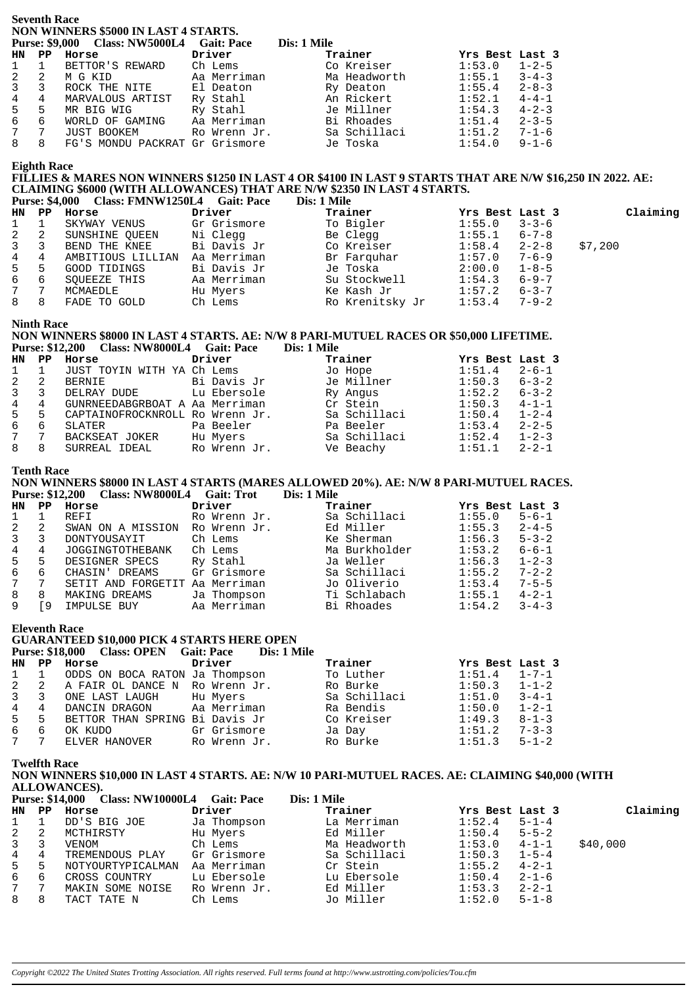**Seventh Race NON WINNERS \$5000 IN LAST 4 STARTS.**

|                 | <b>Purse: \$9,000</b> | <b>Class: NW5000L4</b>         | <b>Gait: Pace</b> | Dis: 1 Mile  |                 |             |
|-----------------|-----------------------|--------------------------------|-------------------|--------------|-----------------|-------------|
| <b>HN</b>       | $_{\rm PP}$           | Horse                          | Driver            | Trainer      | Yrs Best Last 3 |             |
| 1               |                       | BETTOR'S REWARD                | Ch Lems           | Co Kreiser   | 1:53.0          | $1 - 2 - 5$ |
| $\overline{a}$  | 2                     | M G KID                        | Aa Merriman       | Ma Headworth | 1:55.1          | $3 - 4 - 3$ |
| 3               |                       | ROCK THE NITE                  | El Deaton         | Ry Deaton    | 1:55.4          | $2 - 8 - 3$ |
| 4               | 4                     | MARVALOUS ARTIST               | Ry Stahl          | An Rickert   | 1:52.1          | $4 - 4 - 1$ |
| $5 -$           | 5                     | MR BIG WIG                     | Ry Stahl          | Je Millner   | 1:54.3          | $4 - 2 - 3$ |
| 6               | 6                     | WORLD OF GAMING                | Aa Merriman       | Bi Rhoades   | 1:51.4          | $2 - 3 - 5$ |
| $7\overline{ }$ | 7                     | <b>JUST BOOKEM</b>             | Ro Wrenn Jr.      | Sa Schillaci | 1:51.2          | $7 - 1 - 6$ |
| 8               | 8                     | FG'S MONDU PACKRAT Gr Grismore |                   | Je Toska     | 1:54.0          | $9 - 1 - 6$ |

### **Eighth Race**

## **FILLIES & MARES NON WINNERS \$1250 IN LAST 4 OR \$4100 IN LAST 9 STARTS THAT ARE N/W \$16,250 IN 2022. AE: CLAIMING \$6000 (WITH ALLOWANCES) THAT ARE N/W \$2350 IN LAST 4 STARTS.**

|                |              | Purse: \$4,000 Class: FMNW1250L4 Gait: Pace |             | Dis: 1 Mile     |                 |             |          |
|----------------|--------------|---------------------------------------------|-------------|-----------------|-----------------|-------------|----------|
|                |              | HN PP Horse                                 | Driver      | Trainer         | Yrs Best Last 3 |             | Claiming |
| $1 \quad$      | $\mathbf{1}$ | SKYWAY VENUS                                | Gr Grismore | To Bigler       | 1:55.0          | $3 - 3 - 6$ |          |
| $2 \quad 2$    |              | SUNSHINE OUEEN                              | Ni Cleqq    | Be Clegg        | 1:55.1          | $6 - 7 - 8$ |          |
| $3 \quad 3$    |              | BEND THE KNEE                               | Bi Davis Jr | Co Kreiser      | 1:58.4          | $2 - 2 - 8$ | \$7,200  |
| 4 4            |              | AMBITIOUS LILLIAN                           | Aa Merriman | Br Farquhar     | 1:57.0          | $7 - 6 - 9$ |          |
| 5 <sub>5</sub> |              | GOOD TIDINGS                                | Bi Davis Jr | Je Toska        | 2:00.0          | $1 - 8 - 5$ |          |
| 6              | - 6          | SOUEEZE THIS                                | Aa Merriman | Su Stockwell    | 1:54.3          | $6 - 9 - 7$ |          |
| 7              |              | MCMAEDLE                                    | Hu Myers    | Ke Kash Jr      | 1:57.2          | $6 - 3 - 7$ |          |
| 8              | -8           | FADE TO GOLD                                | Ch Lems     | Ro Krenitsky Jr | 1:53.4          | $7 - 9 - 2$ |          |

#### **Ninth Race**

### **NON WINNERS \$8000 IN LAST 4 STARTS. AE: N/W 8 PARI-MUTUEL RACES OR \$50,000 LIFETIME. Purse: \$12,200 Class: NW8000L4 Gait: Pace Dis: 1 Mile**

| HN | PP | Horse                           | Driver       | Trainer      | Yrs Best Last 3 |             |
|----|----|---------------------------------|--------------|--------------|-----------------|-------------|
|    |    | JUST TOYIN WITH YA Ch Lems      |              | Jo Hope      | 1:51.4          | $2 - 6 - 1$ |
|    | -2 | BERNIE                          | Bi Davis Jr  | Je Millner   | 1:50.3          | $6 - 3 - 2$ |
|    |    | DELRAY DUDE                     | Lu Ebersole  | Ry Angus     | 1:52.2          | $6 - 3 - 2$ |
|    |    | GUNRNEEDABGRBOAT A Aa Merriman  |              | Cr Stein     | 1:50.3          | $4 - 1 - 1$ |
| 5  | 5  | CAPTAINOFROCKNROLL Ro Wrenn Jr. |              | Sa Schillaci | 1:50.4          | $1 - 2 - 4$ |
| 6  | 6  | SLATER                          | Pa Beeler    | Pa Beeler    | 1:53.4          | $2 - 2 - 5$ |
|    |    | BACKSEAT JOKER                  | Hu Myers     | Sa Schillaci | 1:52.4          | $1 - 2 - 3$ |
|    |    | SURREAL IDEAL                   | Ro Wrenn Jr. | Ve Beachy    | 1:51.1          | $2 - 2 - 1$ |

#### **Tenth Race**

**NON WINNERS \$8000 IN LAST 4 STARTS (MARES ALLOWED 20%). AE: N/W 8 PARI-MUTUEL RACES. Purse: \$12,200 Class: NW8000L4 Gait: Trot Dis: 1 Mile**

| HN | PP | Horse                   | Driver       | Trainer       | Yrs Best Last 3 |             |
|----|----|-------------------------|--------------|---------------|-----------------|-------------|
|    |    | REFI                    | Ro Wrenn Jr. | Sa Schillaci  | 1:55.0          | $5 - 6 - 1$ |
|    | 2  | SWAN ON A MISSION       | Ro Wrenn Jr. | Ed Miller     | 1:55.3          | $2 - 4 - 5$ |
|    |    | DONTYOUSAYIT            | Ch Lems      | Ke Sherman    | 1:56.3          | $5 - 3 - 2$ |
| 4  | 4  | <b>JOGGINGTOTHEBANK</b> | Ch Lems      | Ma Burkholder | 1:53.2          | $6 - 6 - 1$ |
| 5. | 5  | DESIGNER SPECS          | Ry Stahl     | Ja Weller     | 1:56.3          | $1 - 2 - 3$ |
| 6  | 6  | CHASIN' DREAMS          | Gr Grismore  | Sa Schillaci  | 1:55.2          | $7 - 2 - 2$ |
|    |    | SETIT AND FORGETIT      | Aa Merriman  | Jo Oliverio   | 1:53.4          | $7 - 5 - 5$ |
| 8  | 8  | MAKING DREAMS           | Ja Thompson  | Ti Schlabach  | 1:55.1          | $4 - 2 - 1$ |
|    | 9  | IMPULSE BUY             | Aa Merriman  | Bi Rhoades    | 1:54.2          | $3 - 4 - 3$ |

**Eleventh Race**

## **GUARANTEED \$10,000 PICK 4 STARTS HERE OPEN**

|             |               |                                    | Purse: \$18,000 Class: OPEN Gait: Pace Dis: 1 Mile |              |                 |             |
|-------------|---------------|------------------------------------|----------------------------------------------------|--------------|-----------------|-------------|
| HN          | $\mathbf{PP}$ | Horse                              | Driver                                             | Trainer      | Yrs Best Last 3 |             |
|             |               | 1 1 ODDS ON BOCA RATON Ja Thompson |                                                    | To Luther    | 1:51.4          | $1 - 7 - 1$ |
| $2 \quad 2$ |               | A FAIR OL DANCE N Ro Wrenn Jr.     |                                                    | Ro Burke     | 1:50.3          | $1 - 1 - 2$ |
| $3 \quad 3$ |               | ONE LAST LAUGH Hu Myers            |                                                    | Sa Schillaci | 1:51.0          | $3 - 4 - 1$ |
| 4           | 4             | DANCIN DRAGON Aa Merriman          |                                                    | Ra Bendis    | 1:50.0          | $1 - 2 - 1$ |
| 5           | -5            | BETTOR THAN SPRING Bi Davis Jr     |                                                    | Co Kreiser   | 1:49.3          | $8 - 1 - 3$ |
| 6           | 6             | OK KUDO                            | Gr Grismore                                        | Ja Day       | 1:51.2          | $7 - 3 - 3$ |
| 7 7         |               | ELVER HANOVER                      | Ro Wrenn Jr.                                       | Ro Burke     | 1:51.3          | $5 - 1 - 2$ |

**Twelfth Race**

## **NON WINNERS \$10,000 IN LAST 4 STARTS. AE: N/W 10 PARI-MUTUEL RACES. AE: CLAIMING \$40,000 (WITH ALLOWANCES).**

|                |   | <b>Purse: \$14,000 Class: NW10000L4</b> | <b>Gait: Pace</b> | Dis: 1 Mile  |                       |          |
|----------------|---|-----------------------------------------|-------------------|--------------|-----------------------|----------|
| HN PP          |   | Horse                                   | Driver            | Trainer      | Yrs Best Last 3       | Claiming |
|                |   | DD'S BIG JOE                            | Ja Thompson       | La Merriman  | 1:52.4<br>$5 - 1 - 4$ |          |
| $\overline{2}$ | 2 | MCTHIRSTY                               | Hu Myers          | Ed Miller    | 1:50.4<br>$5 - 5 - 2$ |          |
| $\mathbf{3}$   |   | VENOM                                   | Ch Lems           | Ma Headworth | $4 - 1 - 1$<br>1:53.0 | \$40,000 |
| 4              | 4 | TREMENDOUS PLAY                         | Gr Grismore       | Sa Schillaci | $1 - 5 - 4$<br>1:50.3 |          |
| 5 <sub>5</sub> | 5 | NOTYOURTYPICALMAN                       | Aa Merriman       | Cr Stein     | $4 - 2 - 1$<br>1:55.2 |          |
| 6              | 6 | CROSS COUNTRY                           | Lu Ebersole       | Lu Ebersole  | $2 - 1 - 6$<br>1:50.4 |          |
| 7              |   | MAKIN SOME NOISE                        | Ro Wrenn Jr.      | Ed Miller    | 1:53.3<br>$2 - 2 - 1$ |          |
| 8              | 8 | TACT TATE N                             | Ch Lems           | Jo Miller    | 1:52.0<br>$5 - 1 - 8$ |          |